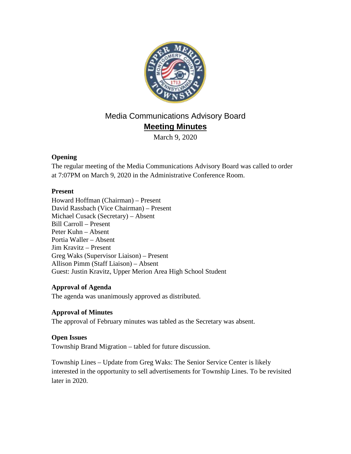

# Media Communications Advisory Board **Meeting Minutes**

March 9, 2020

### **Opening**

The regular meeting of the Media Communications Advisory Board was called to order at 7:07PM on March 9, 2020 in the Administrative Conference Room.

### **Present**

Howard Hoffman (Chairman) – Present David Rassbach (Vice Chairman) – Present Michael Cusack (Secretary) – Absent Bill Carroll – Present Peter Kuhn – Absent Portia Waller – Absent Jim Kravitz – Present Greg Waks (Supervisor Liaison) – Present Allison Pimm (Staff Liaison) – Absent Guest: Justin Kravitz, Upper Merion Area High School Student

# **Approval of Agenda**

The agenda was unanimously approved as distributed.

# **Approval of Minutes**

The approval of February minutes was tabled as the Secretary was absent.

# **Open Issues**

Township Brand Migration – tabled for future discussion.

Township Lines – Update from Greg Waks: The Senior Service Center is likely interested in the opportunity to sell advertisements for Township Lines. To be revisited later in 2020.